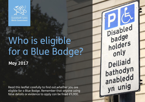

Llywodraeth Cymru Welsh Government

# Who is eligible for a Blue Badge?

**May 2017**

Read this leaflet carefully to find out whether you are eligible for a Blue Badge. Remember that anyone using false details or evidence to apply can be fined £5,000.

Disabled<br>badge hadgers only Deiliaid bathodyn<br>anabledd yn unig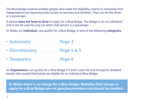The Blue Badge scheme enables people who meet the eligibility criteria to maximise their independence by improving their access to services and facilities. They can be the driver or a passenger.

A person **does not have to drive** to apply for a Blue Badge. The Badge is for an individual and it can be used for any car when that person is a passenger.

In Wales, an **Individual**, can qualify for a Blue Badge, in one of the following **categories**:

- Automatic **Page 3**
- Discretionary **Page 4 & 5**
- **Temporary Page 6**

An **Organisation** can qualify for a Blue Badge if it both cares for and transports disabled people who would themselves be eligible for an individual Blue Badge.

**In Wales there is no charge for a Blue Badge. Websites that charge to apply for a Blue Badge are not genuine providers and should be avoided.**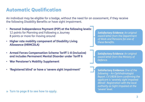### Automatic Qualification

An individual may be eligible for a badge, without the need for an assessment, if they receive the following Disability Benefits or have sight impairment.

- **Personal Independence Payment (PIP) at the following levels:** 12 points for Planning and Following a Journey 8 points or more for moving around
- **Higher rate mobility component of Disability Living Allowance (HRMCDLA)**
- **Armed Forces Compensation Scheme Tariff 1-8 (inclusive) and includes Permanent Mental Disorder under Tariff 6**
- **War Pensioner's Mobility Supplement**
- **'Registered blind' or have a 'severe sight impairment'**

*Satisfactory Evidence: An original award letter from the Department of Work and Pensions for one of these Benefits.*

*Satisfactory Evidence: An original award letter from the Ministry of Defence.*

**Satisfactory Evidence:** *One of the following – An Ophthalmologist Report. CV1/BD8 form confirming the applicant is 'severely sight impaired (Blind)'. Registration with the local authority as Sight Impaired at the 'severe' level.*

**» Turn to page 8 to see how to apply.**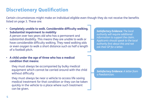# Discretionary Qualification

Certain circumstances might make an individual eligible even though they do not receive the benefits listed on page 3. These are:

• **Completely unable to walk. Considerable difficulty walking. Substantial impairment to mobility** 

A person over two years old who has a permanent and substantial disability. This means they are unable to walk or have considerable difficulty walking. They need walking aids or even oxygen to walk a short distance such as half a length of a football pitch.

• **A child under the age of three who has a medical condition that means:**

they must always be accompanied by bulky medical equipment which cannot be carried around with the child without difficulty

they must always be near a vehicle to access life saving medical treatment for that condition or they can be taken quickly in the vehicle to a place where such treatment can be given.

*Satisfactory Evidence: The local authority will require additional information to support the claim. Applicants should speak to the local authority first about this and not ask their GP for a letter.*

*Satisfactory Evidence: A letter from a Paediatrician.*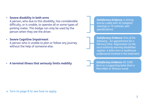#### **» Turn to page 8 to see how to apply.**

• **Severe disability in both arms** A person, who due to this disability, has considerable difficulty, or is unable, to operate all or some types of parking meter. This badge can only be used by the person when they are the driver.

• **Severe Cognitive Impairment** A person who is unable to plan or follow any journey without the help of someone else.

• **A terminal illness that seriously limits mobility** 

*Satisfactory Evidence: A driving license coded with 40 (adapted steering) or 79 (vehicles with specifications).*

*Satisfactory Evidence: One of the following – An appointment for a Memory Clinic. Registration on the local authority learning disabilities register. A letter from a healthcare professional involved in the treatment.*

*Satisfactory Evidence: DS 1500 form or a supporting letter from a Macmillan or Tenovus nurse.*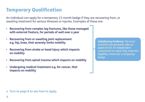## Temporary Qualification

An individual can apply for a temporary 12 month badge if they are recovering from, or awaiting treatment for serious illnesses or injuries. Examples of these are:

- **Recovering from complex leg fractures, like those managed with external fixators, for periods of well over a year**
- **Recovering from or awaiting joint replacement e.g. hip, knee, that severely limits mobility**
- **Recovering from stroke or head injury which impacts on mobility**
- **Recovering from spinal trauma which impacts on mobility**
- **Undergoing medical treatment e.g. for cancer, that impacts on mobility**

*Satisfactory Evidence: The local authority will generally refer an applicant for an independent assessment to check they meet the eligibility criteria for a temporary badge.* 

**» Turn to page 8 to see how to apply.**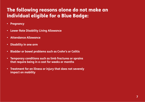# The following reasons alone do not make an individual eligible for a Blue Badge:

- **• Pregnancy**
- **• Lower Rate Disability Living Allowance**
- **• Attendance Allowance**
- **• Disability in one arm**
- **• Bladder or bowel problems such as Crohn's or Colitis**
- **• Temporary conditions such as limb fractures or sprains that require being in a cast for weeks or months**
- **• Treatment for an illness or injury that does not severely impact on mobility**